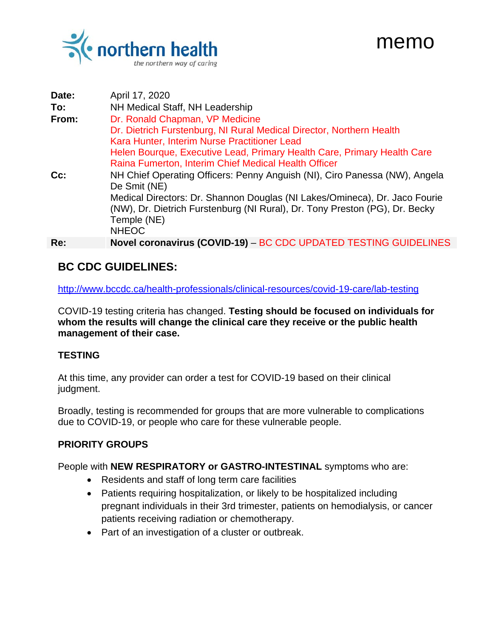

| Date: | April 17, 2020                                                                                                                                                                                                                                                                                                                                 |
|-------|------------------------------------------------------------------------------------------------------------------------------------------------------------------------------------------------------------------------------------------------------------------------------------------------------------------------------------------------|
| To:   | NH Medical Staff, NH Leadership                                                                                                                                                                                                                                                                                                                |
| From: | Dr. Ronald Chapman, VP Medicine<br>Dr. Dietrich Furstenburg, NI Rural Medical Director, Northern Health<br>Kara Hunter, Interim Nurse Practitioner Lead<br>Helen Bourque, Executive Lead, Primary Health Care, Primary Health Care                                                                                                             |
| Ce:   | Raina Fumerton, Interim Chief Medical Health Officer<br>NH Chief Operating Officers: Penny Anguish (NI), Ciro Panessa (NW), Angela<br>De Smit (NE)<br>Medical Directors: Dr. Shannon Douglas (NI Lakes/Omineca), Dr. Jaco Fourie<br>(NW), Dr. Dietrich Furstenburg (NI Rural), Dr. Tony Preston (PG), Dr. Becky<br>Temple (NE)<br><b>NHEOC</b> |
| Re:   | Novel coronavirus (COVID-19) – BC CDC UPDATED TESTING GUIDELINES                                                                                                                                                                                                                                                                               |

memo

## **BC CDC GUIDELINES:**

<http://www.bccdc.ca/health-professionals/clinical-resources/covid-19-care/lab-testing>

COVID-19 testing criteria has changed. **Testing should be focused on individuals for whom the results will change the clinical care they receive or the public health management of their case.**

## **TESTING**

At this time, any provider can order a test for COVID-19 based on their clinical judgment.

Broadly, testing is recommended for groups that are more vulnerable to complications due to COVID-19, or people who care for these vulnerable people.

## **PRIORITY GROUPS**

People with **NEW RESPIRATORY or GASTRO-INTESTINAL** symptoms who are:

- Residents and staff of long term care facilities
- Patients requiring hospitalization, or likely to be hospitalized including pregnant individuals in their 3rd trimester, patients on hemodialysis, or cancer patients receiving radiation or chemotherapy.
- Part of an investigation of a cluster or outbreak.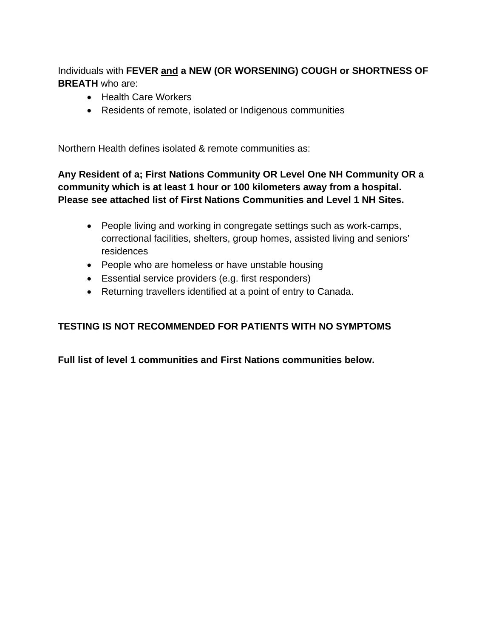Individuals with **FEVER and a NEW (OR WORSENING) COUGH or SHORTNESS OF BREATH** who are:

- Health Care Workers
- Residents of remote, isolated or Indigenous communities

Northern Health defines isolated & remote communities as:

**Any Resident of a; First Nations Community OR Level One NH Community OR a community which is at least 1 hour or 100 kilometers away from a hospital. Please see attached list of First Nations Communities and Level 1 NH Sites.**

- People living and working in congregate settings such as work-camps, correctional facilities, shelters, group homes, assisted living and seniors' residences
- People who are homeless or have unstable housing
- Essential service providers (e.g. first responders)
- Returning travellers identified at a point of entry to Canada.

## **TESTING IS NOT RECOMMENDED FOR PATIENTS WITH NO SYMPTOMS**

**Full list of level 1 communities and First Nations communities below.**